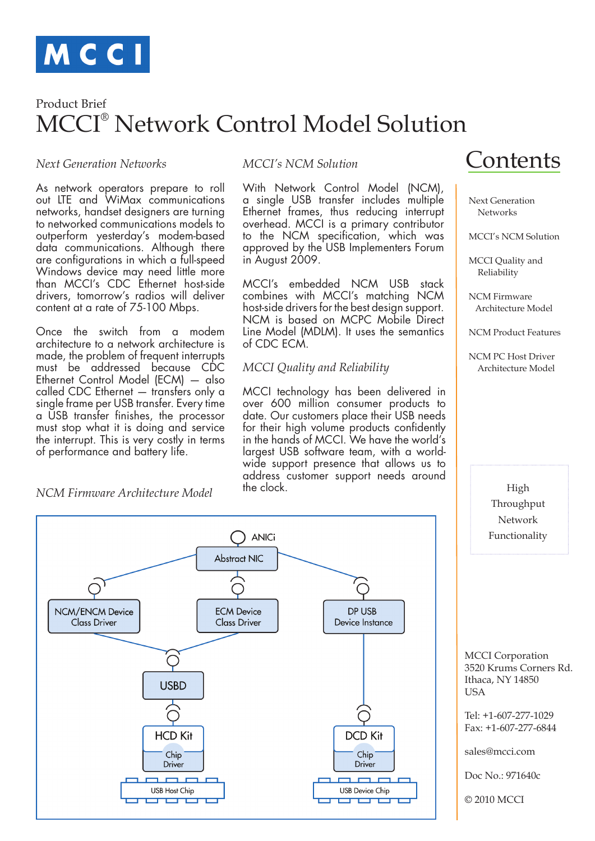

# MCCI® Network Control Model Solution Product Brief

# *Next Generation Networks*

As network operators prepare to roll out LTE and WiMax communications networks, handset designers are turning to networked communications models to outperform yesterday's modem-based data communications. Although there are configurations in which a full-speed Windows device may need little more than MCCI's CDC Ethernet host-side drivers, tomorrow's radios will deliver content at a rate of 75-100 Mbps.

Once the switch from a modem architecture to a network architecture is made, the problem of frequent interrupts must be addressed because CDC Ethernet Control Model (ECM) — also called CDC Ethernet — transfers only a single frame per USB transfer. Every time a USB transfer finishes, the processor must stop what it is doing and service the interrupt. This is very costly in terms of performance and battery life.

#### *NCM Firmware Architecture Model*

#### *MCCI's NCM Solution*

With Network Control Model (NCM), a single USB transfer includes multiple Ethernet frames, thus reducing interrupt overhead. MCCI is a primary contributor to the NCM specification, which was approved by the USB Implementers Forum in August 2009.

MCCI's embedded NCM USB stack combines with MCCI's matching NCM host-side drivers for the best design support. NCM is based on MCPC Mobile Direct Line Model (MDLM). It uses the semantics of CDC ECM.

## *MCCI Quality and Reliability*

MCCI technology has been delivered in over 600 million consumer products to date. Our customers place their USB needs for their high volume products confidently in the hands of MCCI. We have the world's largest USB software team, with a worldwide support presence that allows us to address customer support needs around the clock.

# Contents

 Next Generation **Networks** 

MCCI's NCM Solution

 MCCI Quality and Reliability

 NCM Firmware Architecture Model

NCM Product Features

 NCM PC Host Driver Architecture Model

> High Throughput Network Functionality



 MCCI Corporation 3520 Krums Corners Rd. Ithaca, NY 14850 **USA** 

 Tel: +1-607-277-1029 Fax: +1-607-277-6844

sales@mcci.com

Doc No.: 971640c

© 2010 MCCI